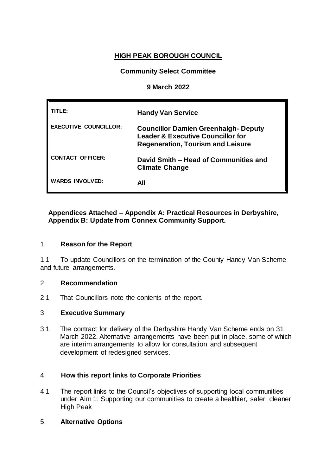# **HIGH PEAK BOROUGH COUNCIL**

# **Community Select Committee**

### **9 March 2022**

| TLE:                         | <b>Handy Van Service</b>                                                                                                                |
|------------------------------|-----------------------------------------------------------------------------------------------------------------------------------------|
| <b>EXECUTIVE COUNCILLOR:</b> | <b>Councillor Damien Greenhalgh- Deputy</b><br><b>Leader &amp; Executive Councillor for</b><br><b>Regeneration, Tourism and Leisure</b> |
| <b>CONTACT OFFICER:</b>      | David Smith - Head of Communities and<br><b>Climate Change</b>                                                                          |
| <b>WARDS INVOLVED:</b>       | All                                                                                                                                     |

### **Appendices Attached – Appendix A: Practical Resources in Derbyshire, Appendix B: Update from Connex Community Support.**

#### 1. **Reason for the Report**

1.1 To update Councillors on the termination of the County Handy Van Scheme and future arrangements.

#### 2. **Recommendation**

2.1 That Councillors note the contents of the report.

# 3. **Executive Summary**

3.1 The contract for delivery of the Derbyshire Handy Van Scheme ends on 31 March 2022. Alternative arrangements have been put in place, some of which are interim arrangements to allow for consultation and subsequent development of redesigned services.

# 4. **How this report links to Corporate Priorities**

4.1 The report links to the Council's objectives of supporting local communities under Aim 1: Supporting our communities to create a healthier, safer, cleaner High Peak

# 5. **Alternative Options**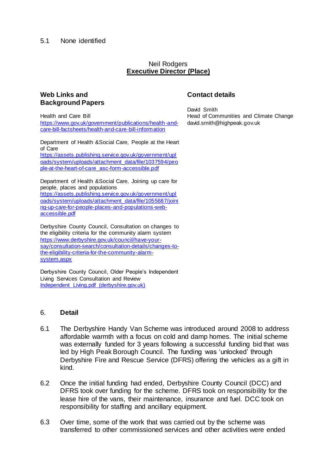#### 5.1 None identified

#### Neil Rodgers **Executive Director (Place)**

# **Web Links and Background Papers**

Health and Care Bill

[https://www.gov.uk/government/publications/health-and](https://www.gov.uk/government/publications/health-and-care-bill-factsheets/health-and-care-bill-information)[care-bill-factsheets/health-and-care-bill-information](https://www.gov.uk/government/publications/health-and-care-bill-factsheets/health-and-care-bill-information)

Department of Health &Social Care, People at the Heart of Care

[https://assets.publishing.service.gov.uk/government/upl](https://assets.publishing.service.gov.uk/government/uploads/system/uploads/attachment_data/file/1037594/people-at-the-heart-of-care_asc-form-accessible.pdf) [oads/system/uploads/attachment\\_data/file/1037594/peo](https://assets.publishing.service.gov.uk/government/uploads/system/uploads/attachment_data/file/1037594/people-at-the-heart-of-care_asc-form-accessible.pdf) [ple-at-the-heart-of-care\\_asc-form-accessible.pdf](https://assets.publishing.service.gov.uk/government/uploads/system/uploads/attachment_data/file/1037594/people-at-the-heart-of-care_asc-form-accessible.pdf)

Department of Health &Social Care, Joining up care for people, places and populations

[https://assets.publishing.service.gov.uk/government/upl](https://assets.publishing.service.gov.uk/government/uploads/system/uploads/attachment_data/file/1055687/joining-up-care-for-people-places-and-populations-web-accessible.pdf) [oads/system/uploads/attachment\\_data/file/1055687/joini](https://assets.publishing.service.gov.uk/government/uploads/system/uploads/attachment_data/file/1055687/joining-up-care-for-people-places-and-populations-web-accessible.pdf) [ng-up-care-for-people-places-and-populations-web](https://assets.publishing.service.gov.uk/government/uploads/system/uploads/attachment_data/file/1055687/joining-up-care-for-people-places-and-populations-web-accessible.pdf)[accessible.pdf](https://assets.publishing.service.gov.uk/government/uploads/system/uploads/attachment_data/file/1055687/joining-up-care-for-people-places-and-populations-web-accessible.pdf)

Derbyshire County Council, Consultation on changes to the eligibility criteria for the community alarm system [https://www.derbyshire.gov.uk/council/have-your](https://www.derbyshire.gov.uk/council/have-your-say/consultation-search/consultation-details/changes-to-the-eligibility-criteria-for-the-community-alarm-system.aspx)[say/consultation-search/consultation-details/changes-to](https://www.derbyshire.gov.uk/council/have-your-say/consultation-search/consultation-details/changes-to-the-eligibility-criteria-for-the-community-alarm-system.aspx)[the-eligibility-criteria-for-the-community-alarm](https://www.derbyshire.gov.uk/council/have-your-say/consultation-search/consultation-details/changes-to-the-eligibility-criteria-for-the-community-alarm-system.aspx)[system.aspx](https://www.derbyshire.gov.uk/council/have-your-say/consultation-search/consultation-details/changes-to-the-eligibility-criteria-for-the-community-alarm-system.aspx)

Derbyshire County Council, Older People's Independent Living Services Consultation and Review [Independent Living.pdf \(derbyshire.gov.uk\)](https://democracy.derbyshire.gov.uk/documents/s13528/Independent%20Living.pdf)

#### 6. **Detail**

- 6.1 The Derbyshire Handy Van Scheme was introduced around 2008 to address affordable warmth with a focus on cold and damp homes. The initial scheme was externally funded for 3 years following a successful funding bid that was led by High Peak Borough Council. The funding was 'unlocked' through Derbyshire Fire and Rescue Service (DFRS) offering the vehicles as a gift in kind.
- 6.2 Once the initial funding had ended, Derbyshire County Council (DCC) and DFRS took over funding for the scheme. DFRS took on responsibility for the lease hire of the vans, their maintenance, insurance and fuel. DCC took on responsibility for staffing and ancillary equipment.
- 6.3 Over time, some of the work that was carried out by the scheme was transferred to other commissioned services and other activities were ended

#### **Contact details**

David Smith Head of Communities and Climate Change david.smith@highpeak.gov.uk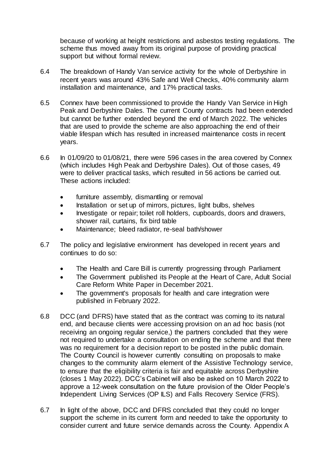because of working at height restrictions and asbestos testing regulations. The scheme thus moved away from its original purpose of providing practical support but without formal review.

- 6.4 The breakdown of Handy Van service activity for the whole of Derbyshire in recent years was around 43% Safe and Well Checks, 40% community alarm installation and maintenance, and 17% practical tasks.
- 6.5 Connex have been commissioned to provide the Handy Van Service in High Peak and Derbyshire Dales. The current County contracts had been extended but cannot be further extended beyond the end of March 2022. The vehicles that are used to provide the scheme are also approaching the end of their viable lifespan which has resulted in increased maintenance costs in recent years.
- 6.6 In 01/09/20 to 01/08/21*,* there were 596 cases in the area covered by Connex (which includes High Peak and Derbyshire Dales). Out of those cases, 49 were to deliver practical tasks, which resulted in 56 actions be carried out. These actions included:
	- furniture assembly, dismantling or removal
	- Installation or set up of mirrors, pictures, light bulbs, shelves
	- Investigate or repair; toilet roll holders, cupboards, doors and drawers, shower rail, curtains, fix bird table
	- Maintenance; bleed radiator, re-seal bath/shower
- 6.7 The policy and legislative environment has developed in recent years and continues to do so:
	- The Health and Care Bill is currently progressing through Parliament
	- The Government published its People at the Heart of Care, Adult Social Care Reform White Paper in December 2021.
	- The government's proposals for health and care integration were published in February 2022.
- 6.8 DCC (and DFRS) have stated that as the contract was coming to its natural end, and because clients were accessing provision on an ad hoc basis (not receiving an ongoing regular service,) the partners concluded that they were not required to undertake a consultation on ending the scheme and that there was no requirement for a decision report to be posted in the public domain. The County Council is however currently consulting on proposals to make changes to the community alarm element of the Assistive Technology service, to ensure that the eligibility criteria is fair and equitable across Derbyshire (closes 1 May 2022). DCC's Cabinet will also be asked on 10 March 2022 to approve a 12-week consultation on the future provision of the Older People's Independent Living Services (OP ILS) and Falls Recovery Service (FRS).
- 6.7 In light of the above, DCC and DFRS concluded that they could no longer support the scheme in its current form and needed to take the opportunity to consider current and future service demands across the County. Appendix A